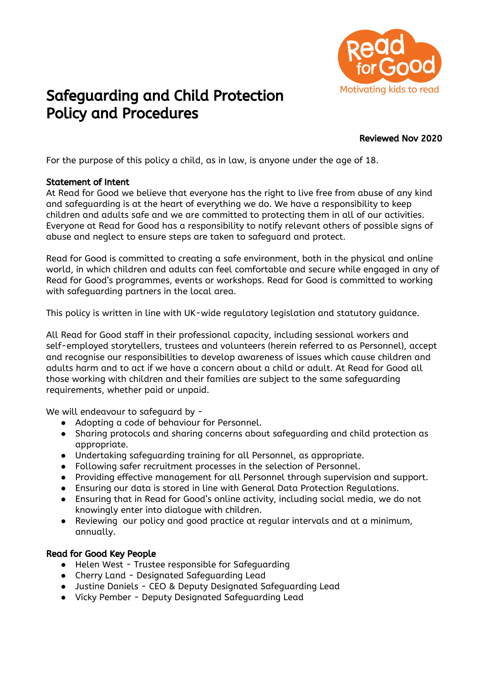

# Safeguarding and Child Protection Policy and Procedures

## Reviewed Nov 2020

For the purpose of this policy a child, as in law, is anyone under the age of 18.

## Statement of Intent

At Read for Good we believe that everyone has the right to live free from abuse of any kind and safeguarding is at the heart of everything we do. We have a responsibility to keep children and adults safe and we are committed to protecting them in all of our activities. Everyone at Read for Good has a responsibility to notify relevant others of possible signs of abuse and neglect to ensure steps are taken to safeguard and protect.

Read for Good is committed to creating a safe environment, both in the physical and online world, in which children and adults can feel comfortable and secure while engaged in any of Read for Good's programmes, events or workshops. Read for Good is committed to working with safeguarding partners in the local area.

This policy is written in line with UK-wide regulatory legislation and statutory guidance.

All Read for Good staff in their professional capacity, including sessional workers and self-employed storytellers, trustees and volunteers (herein referred to as Personnel), accept and recognise our responsibilities to develop awareness of issues which cause children and adults harm and to act if we have a concern about a child or adult. At Read for Good all those working with children and their families are subject to the same safeguarding requirements, whether paid or unpaid.

We will endeavour to safeguard by -

- Adopting a code of behaviour for Personnel.
- Sharing protocols and sharing concerns about safeguarding and child protection as appropriate.
- Undertaking safeguarding training for all Personnel, as appropriate.
- Following safer recruitment processes in the selection of Personnel.
- Providing effective management for all Personnel through supervision and support.
- Ensuring our data is stored in line with General Data Protection Regulations.
- Ensuring that in Read for Good's online activity, including social media, we do not knowingly enter into dialogue with children.
- Reviewing our policy and good practice at regular intervals and at a minimum, annually.

## Read for Good Key People

- Helen West Trustee responsible for Safeguarding
- Cherry Land Designated Safeguarding Lead
- Justine Daniels CEO & Deputy Designated Safeguarding Lead
- Vicky Pember Deputy Designated Safeguarding Lead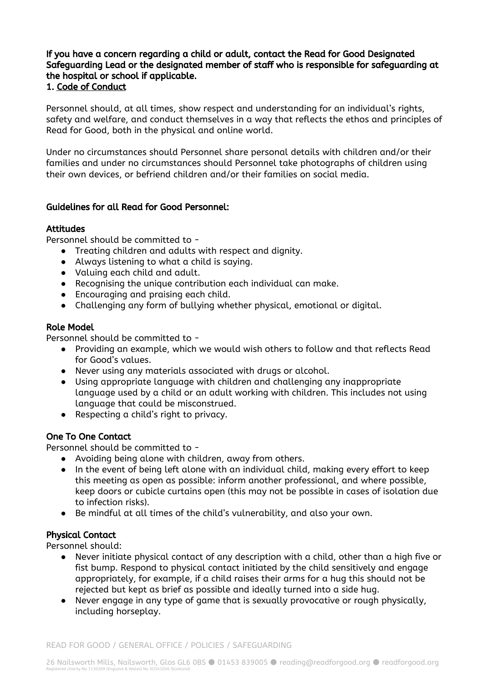# If you have a concern regarding a child or adult, contact the Read for Good Designated Safeguarding Lead or the designated member of staff who is responsible for safeguarding at the hospital or school if applicable.

# 1. Code of Conduct

Personnel should, at all times, show respect and understanding for an individual's rights, safety and welfare, and conduct themselves in a way that reflects the ethos and principles of Read for Good, both in the physical and online world.

Under no circumstances should Personnel share personal details with children and/or their families and under no circumstances should Personnel take photographs of children using their own devices, or befriend children and/or their families on social media.

## Guidelines for all Read for Good Personnel:

## **Attitudes**

Personnel should be committed to -

- Treating children and adults with respect and dignity.
- Always listening to what a child is saying.
- Valuing each child and adult.
- Recognising the unique contribution each individual can make.
- Encouraging and praising each child.
- Challenging any form of bullying whether physical, emotional or digital.

## Role Model

Personnel should be committed to -

- Providing an example, which we would wish others to follow and that reflects Read for Good's values.
- Never using any materials associated with drugs or alcohol.
- Using appropriate language with children and challenging any inappropriate language used by a child or an adult working with children. This includes not using language that could be misconstrued.
- Respecting a child's right to privacy.

## One To One Contact

Personnel should be committed to -

- Avoiding being alone with children, away from others.
- In the event of being left alone with an individual child, making every effort to keep this meeting as open as possible: inform another professional, and where possible, keep doors or cubicle curtains open (this may not be possible in cases of isolation due to infection risks).
- Be mindful at all times of the child's vulnerability, and also your own.

## Physical Contact

Personnel should:

- Never initiate physical contact of any description with a child, other than a high five or fist bump. Respond to physical contact initiated by the child sensitively and engage appropriately, for example, if a child raises their arms for a hug this should not be rejected but kept as brief as possible and ideally turned into a side hug.
- Never engage in any type of game that is sexually provocative or rough physically, including horseplay.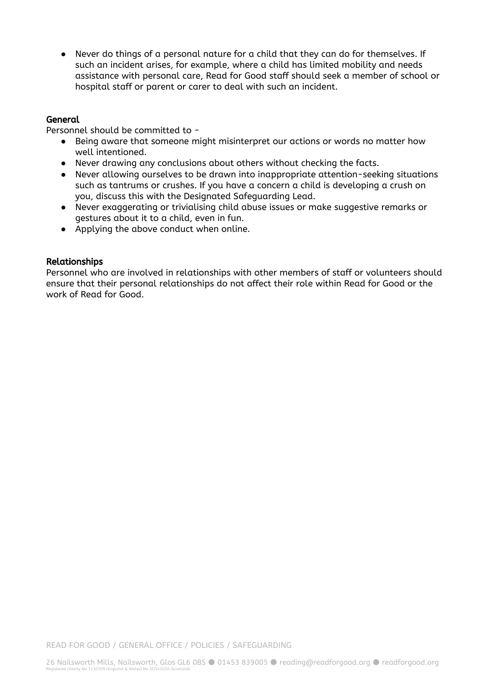● Never do things of a personal nature for a child that they can do for themselves. If such an incident arises, for example, where a child has limited mobility and needs assistance with personal care, Read for Good staff should seek a member of school or hospital staff or parent or carer to deal with such an incident.

#### General

Personnel should be committed to -

- Being aware that someone might misinterpret our actions or words no matter how well intentioned.
- Never drawing any conclusions about others without checking the facts.
- Never allowing ourselves to be drawn into inappropriate attention-seeking situations such as tantrums or crushes. If you have a concern a child is developing a crush on you, discuss this with the Designated Safeguarding Lead.
- Never exaggerating or trivialising child abuse issues or make suggestive remarks or gestures about it to a child, even in fun.
- Applying the above conduct when online.

## Relationships

Personnel who are involved in relationships with other members of staff or volunteers should ensure that their personal relationships do not affect their role within Read for Good or the work of Read for Good.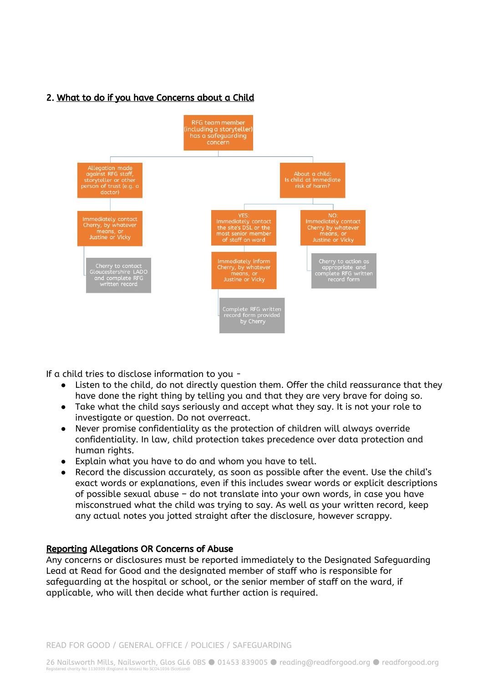# 2. What to do if you have Concerns about a Child



If a child tries to disclose information to you -

- Listen to the child, do not directly question them. Offer the child reassurance that they have done the right thing by telling you and that they are very brave for doing so.
- Take what the child says seriously and accept what they say. It is not your role to investigate or question. Do not overreact.
- Never promise confidentiality as the protection of children will always override confidentiality. In law, child protection takes precedence over data protection and human rights.
- Explain what you have to do and whom you have to tell.
- Record the discussion accurately, as soon as possible after the event. Use the child's exact words or explanations, even if this includes swear words or explicit descriptions of possible sexual abuse – do not translate into your own words, in case you have misconstrued what the child was trying to say. As well as your written record, keep any actual notes you jotted straight after the disclosure, however scrappy.

## Reporting Allegations OR Concerns of Abuse

Any concerns or disclosures must be reported immediately to the Designated Safeguarding Lead at Read for Good and the designated member of staff who is responsible for safeguarding at the hospital or school, or the senior member of staff on the ward, if applicable, who will then decide what further action is required.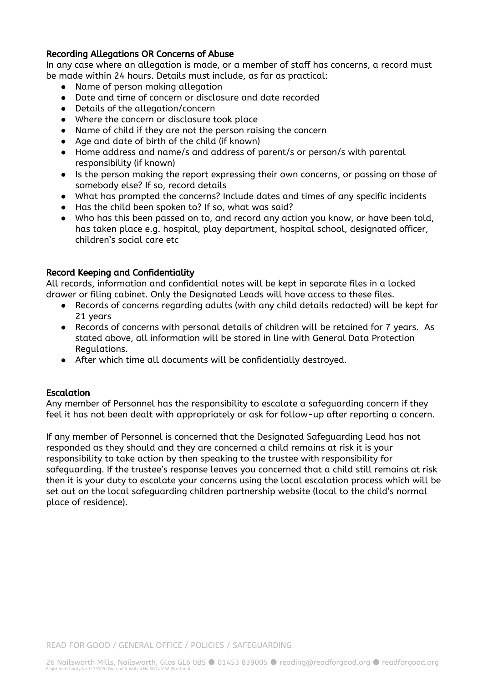## Recording Allegations OR Concerns of Abuse

In any case where an allegation is made, or a member of staff has concerns, a record must be made within 24 hours. Details must include, as far as practical:

- Name of person making allegation
- Date and time of concern or disclosure and date recorded
- Details of the allegation/concern
- Where the concern or disclosure took place
- Name of child if they are not the person raising the concern
- Age and date of birth of the child (if known)
- Home address and name/s and address of parent/s or person/s with parental responsibility (if known)
- Is the person making the report expressing their own concerns, or passing on those of somebody else? If so, record details
- What has prompted the concerns? Include dates and times of any specific incidents
- Has the child been spoken to? If so, what was said?
- Who has this been passed on to, and record any action you know, or have been told, has taken place e.g. hospital, play department, hospital school, designated officer, children's social care etc

## Record Keeping and Confidentiality

All records, information and confidential notes will be kept in separate files in a locked drawer or filing cabinet. Only the Designated Leads will have access to these files.

- Records of concerns regarding adults (with any child details redacted) will be kept for 21 years
- Records of concerns with personal details of children will be retained for 7 years. As stated above, all information will be stored in line with General Data Protection Regulations.
- After which time all documents will be confidentially destroyed.

#### **Escalation**

Any member of Personnel has the responsibility to escalate a safeguarding concern if they feel it has not been dealt with appropriately or ask for follow-up after reporting a concern.

If any member of Personnel is concerned that the Designated Safeguarding Lead has not responded as they should and they are concerned a child remains at risk it is your responsibility to take action by then speaking to the trustee with responsibility for safeguarding. If the trustee's response leaves you concerned that a child still remains at risk then it is your duty to escalate your concerns using the local escalation process which will be set out on the local safeguarding children partnership website (local to the child's normal place of residence).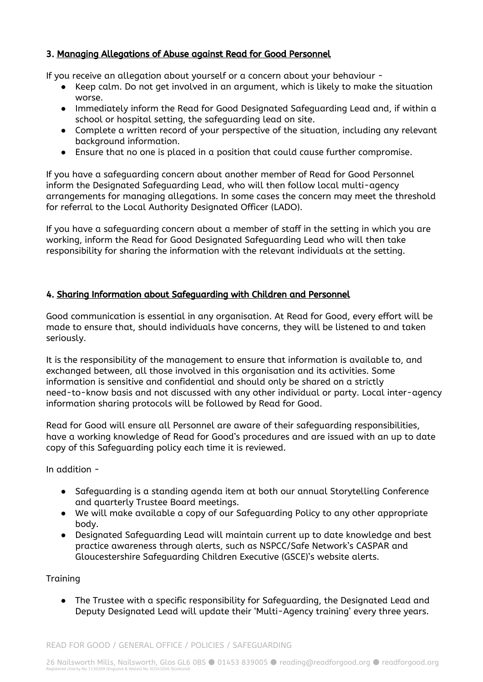# 3. Managing Allegations of Abuse against Read for Good Personnel

If you receive an allegation about yourself or a concern about your behaviour -

- Keep calm. Do not get involved in an argument, which is likely to make the situation worse.
- Immediately inform the Read for Good Designated Safeguarding Lead and, if within a school or hospital setting, the safeguarding lead on site.
- Complete a written record of your perspective of the situation, including any relevant background information.
- Ensure that no one is placed in a position that could cause further compromise.

If you have a safeguarding concern about another member of Read for Good Personnel inform the Designated Safeguarding Lead, who will then follow local multi-agency arrangements for managing allegations. In some cases the concern may meet the threshold for referral to the Local Authority Designated Officer (LADO).

If you have a safeguarding concern about a member of staff in the setting in which you are working, inform the Read for Good Designated Safeguarding Lead who will then take responsibility for sharing the information with the relevant individuals at the setting.

# 4. Sharing Information about Safeguarding with Children and Personnel

Good communication is essential in any organisation. At Read for Good, every effort will be made to ensure that, should individuals have concerns, they will be listened to and taken seriously.

It is the responsibility of the management to ensure that information is available to, and exchanged between, all those involved in this organisation and its activities. Some information is sensitive and confidential and should only be shared on a strictly need-to-know basis and not discussed with any other individual or party. Local inter-agency information sharing protocols will be followed by Read for Good.

Read for Good will ensure all Personnel are aware of their safeguarding responsibilities, have a working knowledge of Read for Good's procedures and are issued with an up to date copy of this Safeguarding policy each time it is reviewed.

In addition -

- Safeguarding is a standing agenda item at both our annual Storytelling Conference and quarterly Trustee Board meetings.
- We will make available a copy of our Safeguarding Policy to any other appropriate body.
- Designated Safeguarding Lead will maintain current up to date knowledge and best practice awareness through alerts, such as NSPCC/Safe Network's CASPAR and Gloucestershire Safeguarding Children Executive (GSCE)'s website alerts.

## **Training**

● The Trustee with a specific responsibility for Safeguarding, the Designated Lead and Deputy Designated Lead will update their 'Multi-Agency training' every three years.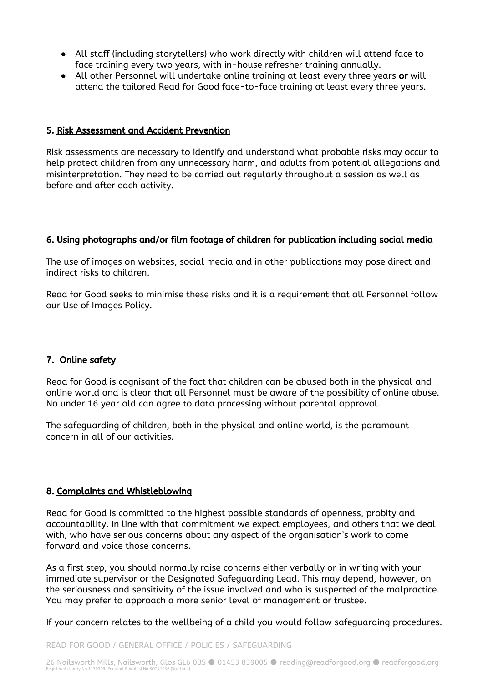- All staff (including storytellers) who work directly with children will attend face to face training every two years, with in-house refresher training annually.
- All other Personnel will undertake online training at least every three years or will attend the tailored Read for Good face-to-face training at least every three years.

#### 5. Risk Assessment and Accident Prevention

Risk assessments are necessary to identify and understand what probable risks may occur to help protect children from any unnecessary harm, and adults from potential allegations and misinterpretation. They need to be carried out regularly throughout a session as well as before and after each activity.

## 6. Using photographs and/or film footage of children for publication including social media

The use of images on websites, social media and in other publications may pose direct and indirect risks to children.

Read for Good seeks to minimise these risks and it is a requirement that all Personnel follow our Use of Images Policy.

#### 7. Online safety

Read for Good is cognisant of the fact that children can be abused both in the physical and online world and is clear that all Personnel must be aware of the possibility of online abuse. No under 16 year old can agree to data processing without parental approval.

The safeguarding of children, both in the physical and online world, is the paramount concern in all of our activities.

#### 8. Complaints and Whistleblowing

Read for Good is committed to the highest possible standards of openness, probity and accountability. In line with that commitment we expect employees, and others that we deal with, who have serious concerns about any aspect of the organisation's work to come forward and voice those concerns.

As a first step, you should normally raise concerns either verbally or in writing with your immediate supervisor or the Designated Safeguarding Lead. This may depend, however, on the seriousness and sensitivity of the issue involved and who is suspected of the malpractice. You may prefer to approach a more senior level of management or trustee.

If your concern relates to the wellbeing of a child you would follow safeguarding procedures.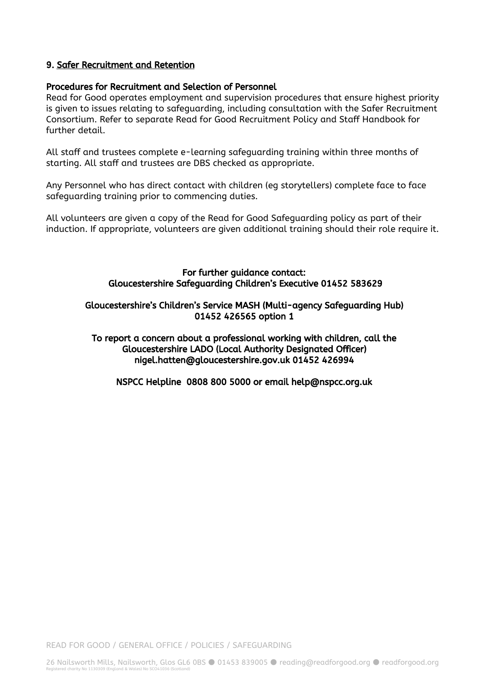#### 9. Safer Recruitment and Retention

#### Procedures for Recruitment and Selection of Personnel

Read for Good operates employment and supervision procedures that ensure highest priority is given to issues relating to safeguarding, including consultation with the Safer Recruitment Consortium. Refer to separate Read for Good Recruitment Policy and Staff Handbook for further detail.

All staff and trustees complete e-learning safeguarding training within three months of starting. All staff and trustees are DBS checked as appropriate.

Any Personnel who has direct contact with children (eg storytellers) complete face to face safeguarding training prior to commencing duties.

All volunteers are given a copy of the Read for Good Safeguarding policy as part of their induction. If appropriate, volunteers are given additional training should their role require it.

> For further guidance contact: Gloucestershire Safeguarding Children's Executive 01452 583629

## Gloucestershire's Children's Service MASH (Multi-agency Safeguarding Hub) 01452 426565 option 1

To report a concern about a professional working with children, call the Gloucestershire LADO (Local Authority Designated Officer) nigel.hatten@gloucestershire.gov.uk 01452 426994

NSPCC Helpline 0808 800 5000 or email help@nspcc.org.uk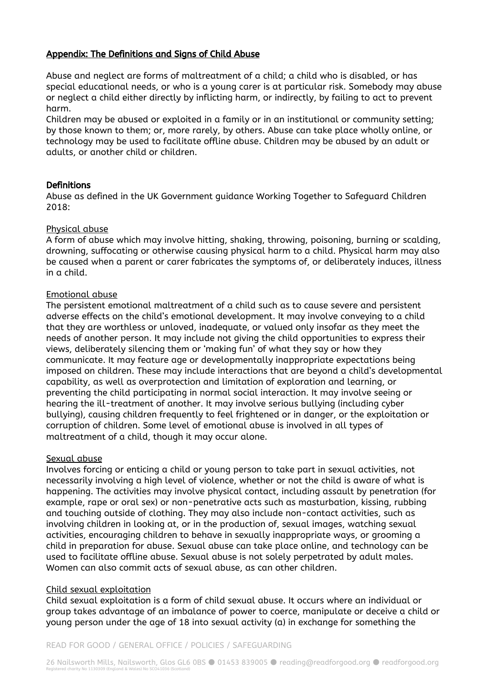## Appendix: The Definitions and Signs of Child Abuse

Abuse and neglect are forms of maltreatment of a child; a child who is disabled, or has special educational needs, or who is a young carer is at particular risk. Somebody may abuse or neglect a child either directly by inflicting harm, or indirectly, by failing to act to prevent harm.

Children may be abused or exploited in a family or in an institutional or community setting; by those known to them; or, more rarely, by others. Abuse can take place wholly online, or technology may be used to facilitate offline abuse. Children may be abused by an adult or adults, or another child or children.

## **Definitions**

Abuse as defined in the UK Government guidance Working Together to Safeguard Children 2018:

#### Physical abuse

A form of abuse which may involve hitting, shaking, throwing, poisoning, burning or scalding, drowning, suffocating or otherwise causing physical harm to a child. Physical harm may also be caused when a parent or carer fabricates the symptoms of, or deliberately induces, illness in a child.

#### Emotional abuse

The persistent emotional maltreatment of a child such as to cause severe and persistent adverse effects on the child's emotional development. It may involve conveying to a child that they are worthless or unloved, inadequate, or valued only insofar as they meet the needs of another person. It may include not giving the child opportunities to express their views, deliberately silencing them or 'making fun' of what they say or how they communicate. It may feature age or developmentally inappropriate expectations being imposed on children. These may include interactions that are beyond a child's developmental capability, as well as overprotection and limitation of exploration and learning, or preventing the child participating in normal social interaction. It may involve seeing or hearing the ill-treatment of another. It may involve serious bullying (including cyber bullying), causing children frequently to feel frightened or in danger, or the exploitation or corruption of children. Some level of emotional abuse is involved in all types of maltreatment of a child, though it may occur alone.

#### Sexual abuse

Involves forcing or enticing a child or young person to take part in sexual activities, not necessarily involving a high level of violence, whether or not the child is aware of what is happening. The activities may involve physical contact, including assault by penetration (for example, rape or oral sex) or non-penetrative acts such as masturbation, kissing, rubbing and touching outside of clothing. They may also include non-contact activities, such as involving children in looking at, or in the production of, sexual images, watching sexual activities, encouraging children to behave in sexually inappropriate ways, or grooming a child in preparation for abuse. Sexual abuse can take place online, and technology can be used to facilitate offline abuse. Sexual abuse is not solely perpetrated by adult males. Women can also commit acts of sexual abuse, as can other children.

#### Child sexual exploitation

Child sexual exploitation is a form of child sexual abuse. It occurs where an individual or group takes advantage of an imbalance of power to coerce, manipulate or deceive a child or young person under the age of 18 into sexual activity (a) in exchange for something the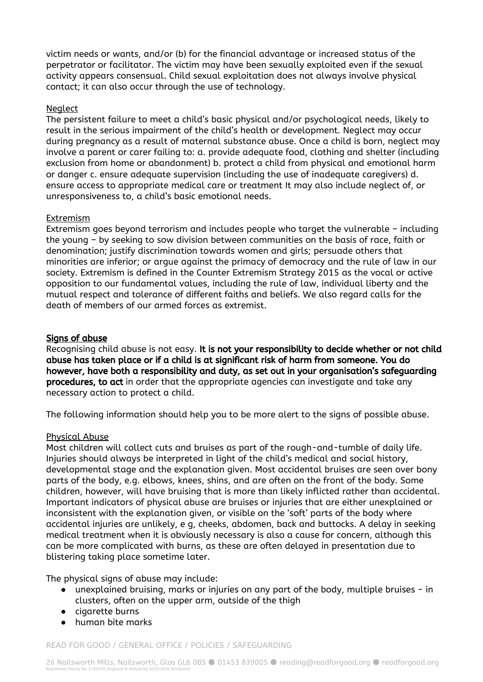victim needs or wants, and/or (b) for the financial advantage or increased status of the perpetrator or facilitator. The victim may have been sexually exploited even if the sexual activity appears consensual. Child sexual exploitation does not always involve physical contact; it can also occur through the use of technology.

#### Neglect

The persistent failure to meet a child's basic physical and/or psychological needs, likely to result in the serious impairment of the child's health or development. Neglect may occur during pregnancy as a result of maternal substance abuse. Once a child is born, neglect may involve a parent or carer failing to: a. provide adequate food, clothing and shelter (including exclusion from home or abandonment) b. protect a child from physical and emotional harm or danger c. ensure adequate supervision (including the use of inadequate caregivers) d. ensure access to appropriate medical care or treatment It may also include neglect of, or unresponsiveness to, a child's basic emotional needs.

## Extremism

Extremism goes beyond terrorism and includes people who target the vulnerable – including the young – by seeking to sow division between communities on the basis of race, faith or denomination; justify discrimination towards women and girls; persuade others that minorities are inferior; or argue against the primacy of democracy and the rule of law in our society. Extremism is defined in the Counter Extremism Strategy 2015 as the vocal or active opposition to our fundamental values, including the rule of law, individual liberty and the mutual respect and tolerance of different faiths and beliefs. We also regard calls for the death of members of our armed forces as extremist.

## Signs of abuse

Recognising child abuse is not easy. It is not your responsibility to decide whether or not child abuse has taken place or if a child is at significant risk of harm from someone. You do however, have both a responsibility and duty, as set out in your organisation's safeguarding procedures, to act in order that the appropriate agencies can investigate and take any necessary action to protect a child.

The following information should help you to be more alert to the signs of possible abuse.

#### Physical Abuse

Most children will collect cuts and bruises as part of the rough-and-tumble of daily life. Injuries should always be interpreted in light of the child's medical and social history, developmental stage and the explanation given. Most accidental bruises are seen over bony parts of the body, e.g. elbows, knees, shins, and are often on the front of the body. Some children, however, will have bruising that is more than likely inflicted rather than accidental. Important indicators of physical abuse are bruises or injuries that are either unexplained or inconsistent with the explanation given, or visible on the 'soft' parts of the body where accidental injuries are unlikely, e g, cheeks, abdomen, back and buttocks. A delay in seeking medical treatment when it is obviously necessary is also a cause for concern, although this can be more complicated with burns, as these are often delayed in presentation due to blistering taking place sometime later.

The physical signs of abuse may include:

- unexplained bruising, marks or injuries on any part of the body, multiple bruises in clusters, often on the upper arm, outside of the thigh
- cigarette burns
- human bite marks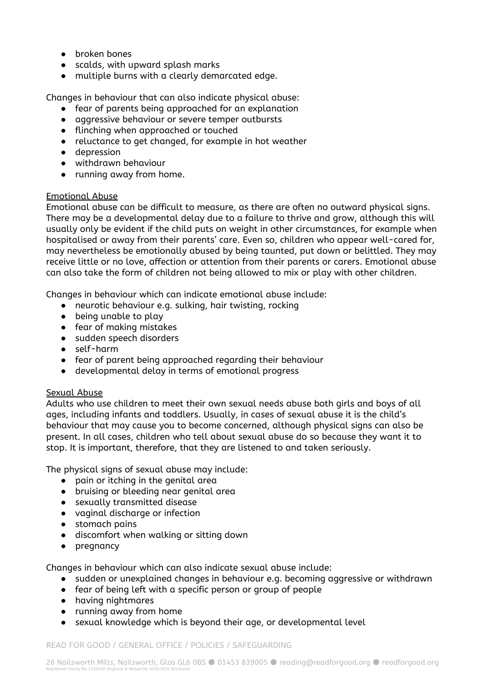- broken bones
- scalds, with upward splash marks
- multiple burns with a clearly demarcated edge.

Changes in behaviour that can also indicate physical abuse:

- fear of parents being approached for an explanation
- aggressive behaviour or severe temper outbursts
- flinching when approached or touched
- reluctance to get changed, for example in hot weather
- depression
- withdrawn behaviour
- running away from home.

#### Emotional Abuse

Emotional abuse can be difficult to measure, as there are often no outward physical signs. There may be a developmental delay due to a failure to thrive and grow, although this will usually only be evident if the child puts on weight in other circumstances, for example when hospitalised or away from their parents' care. Even so, children who appear well-cared for, may nevertheless be emotionally abused by being taunted, put down or belittled. They may receive little or no love, affection or attention from their parents or carers. Emotional abuse can also take the form of children not being allowed to mix or play with other children.

Changes in behaviour which can indicate emotional abuse include:

- neurotic behaviour e.g. sulking, hair twisting, rocking
- being unable to play
- fear of making mistakes
- sudden speech disorders
- self-harm
- fear of parent being approached regarding their behaviour
- developmental delay in terms of emotional progress

#### Sexual Abuse

Adults who use children to meet their own sexual needs abuse both girls and boys of all ages, including infants and toddlers. Usually, in cases of sexual abuse it is the child's behaviour that may cause you to become concerned, although physical signs can also be present. In all cases, children who tell about sexual abuse do so because they want it to stop. It is important, therefore, that they are listened to and taken seriously.

The physical signs of sexual abuse may include:

- pain or itching in the genital area
- bruising or bleeding near genital area
- sexually transmitted disease
- vaginal discharge or infection
- stomach pains
- discomfort when walking or sitting down
- pregnancy

Changes in behaviour which can also indicate sexual abuse include:

- sudden or unexplained changes in behaviour e.g. becoming aggressive or withdrawn
- fear of being left with a specific person or group of people
- having nightmares
- running away from home
- sexual knowledge which is beyond their age, or developmental level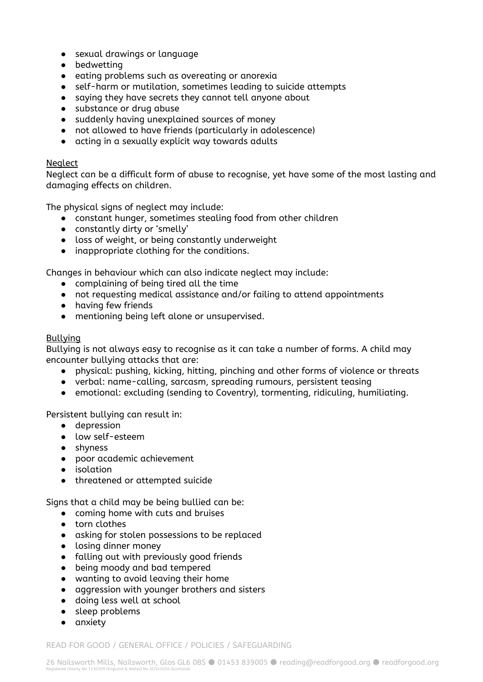- sexual drawings or language
- bedwetting
- eating problems such as overeating or anorexia
- self-harm or mutilation, sometimes leading to suicide attempts
- saying they have secrets they cannot tell anyone about
- substance or drug abuse
- suddenly having unexplained sources of money
- not allowed to have friends (particularly in adolescence)
- acting in a sexually explicit way towards adults

#### Neglect

Neglect can be a difficult form of abuse to recognise, yet have some of the most lasting and damaging effects on children.

The physical signs of neglect may include:

- constant hunger, sometimes stealing food from other children
- constantly dirty or 'smelly'
- loss of weight, or being constantly underweight
- inappropriate clothing for the conditions.

Changes in behaviour which can also indicate neglect may include:

- complaining of being tired all the time
- not requesting medical assistance and/or failing to attend appointments
- having few friends
- mentioning being left alone or unsupervised.

#### Bullying

Bullying is not always easy to recognise as it can take a number of forms. A child may encounter bullying attacks that are:

- physical: pushing, kicking, hitting, pinching and other forms of violence or threats
- verbal: name-calling, sarcasm, spreading rumours, persistent teasing
- emotional: excluding (sending to Coventry), tormenting, ridiculing, humiliating.

Persistent bullying can result in:

- depression
- low self-esteem
- shyness
- poor academic achievement
- isolation
- threatened or attempted suicide

Signs that a child may be being bullied can be:

- coming home with cuts and bruises
- torn clothes
- asking for stolen possessions to be replaced
- losing dinner money
- falling out with previously good friends
- being moody and bad tempered
- wanting to avoid leaving their home
- aggression with younger brothers and sisters
- doing less well at school
- sleep problems
- anxiety